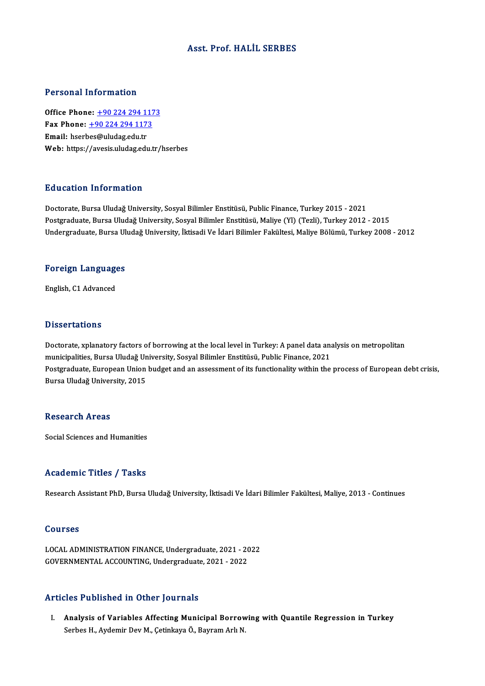## Asst. Prof.HALİL SERBES

#### Personal Information

**Personal Information<br>Office Phone: +90 224 294 1173<br>Fax Phone: +90 224 294 1172** Fax Phone: <u>+90 224 294 117</u><br>Fax Phone: <u>+90 224 294 1173</u><br>Fmail: bserbes@uludes.edu.tr Office Phone: <u>+90 224 294 11</u><br>Fax Phone: <u>+90 224 294 117</u><br>Email: hser[bes@uludag.edu.tr](tel:+90 224 294 1173) Fax Phone: <u>+90 224 294 1173</u><br>Email: hserbes@uludag.edu.tr<br>Web: https://avesis.uludag.edu.tr/hserbes

### Education Information

Doctorate, Bursa Uludağ University, Sosyal Bilimler Enstitüsü, Public Finance, Turkey 2015 - 2021 Postgraduate, Bursa Uludağ University, Sosyal Bilimler Enstitüsü, Maliye (Yl) (Tezli), Turkey 2012 - 2015 Undergraduate, Bursa Uludağ University, İktisadi Ve İdari Bilimler Fakültesi, Maliye Bölümü, Turkey 2008 - 2012

# <sub>ondergraduate, bursa of<br>Foreign Languages</sub> F<mark>oreign Languag</mark>e<br>English, C1 Advanced

English, C1 Advanced<br>Dissertations

Dissertations<br>Doctorate, xplanatory factors of borrowing at the local level in Turkey: A panel data analysis on metropolitan<br>municipalities, Burse Uludağ University, Sosyal Bilimler Enstitüsü, Bublis Einange, 2021 musical cattons<br>Doctorate, xplanatory factors of borrowing at the local level in Turkey: A panel data an:<br>municipalities, Bursa Uludağ University, Sosyal Bilimler Enstitüsü, Public Finance, 2021<br>Bostanaduata, European Unio Doctorate, xplanatory factors of borrowing at the local level in Turkey: A panel data analysis on metropolitan<br>municipalities, Bursa Uludağ University, Sosyal Bilimler Enstitüsü, Public Finance, 2021<br>Postgraduate, European municipalities, Bursa Uludağ Un<br>Postgraduate, European Union<br>Bursa Uludağ University, 2015 Bursa Uludağ University, 2015<br>Research Areas

Social Sciences and Humanities

#### Academic Titles / Tasks

Research Assistant PhD, Bursa Uludağ University, İktisadi Ve İdari Bilimler Fakültesi, Maliye, 2013 - Continues

#### Courses

Courses<br>LOCAL ADMINISTRATION FINANCE, Undergraduate, 2021 - 2022<br>COVERNMENTAL ACCOUNTINC, Undergraduate, 2021 - 2022 SOG1909<br>LOCAL ADMINISTRATION FINANCE, Undergraduate, 2021 - 20<br>GOVERNMENTAL ACCOUNTING, Undergraduate, 2021 - 2022 GOVERNMENTAL ACCOUNTING, Undergraduate, 2021 - 2022<br>Articles Published in Other Journals

I. Analysis of Variables Affecting Municipal Borrowing with Quantile Regression in Turkey Serbes H., Aydemir Dev M., Çetinkaya Ö., Bayram Arlı N.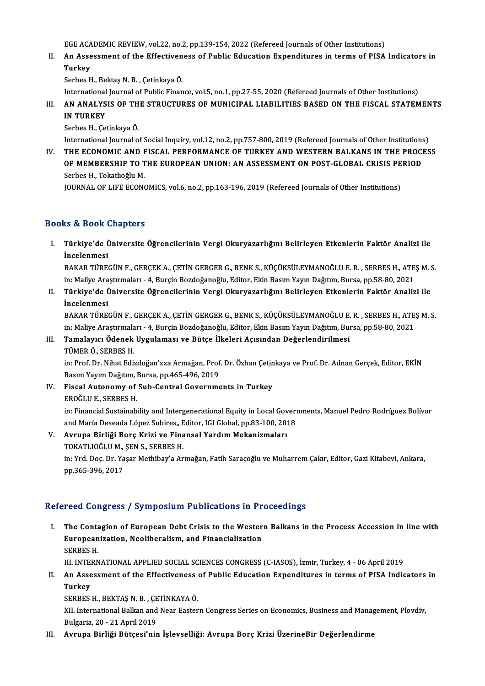EGE ACADEMIC REVIEW, vol.22, no.2, pp.139-154, 2022 (Refereed Journals of Other Institutions)<br>An Assessment of the Effectiveness of Public Education Expenditures in terms of PISA

II. An Assessment of the Effectiveness of Public Education Expenditures in terms of PISA Indicators in<br>Turkey EGE ACA<br><mark>An Asse</mark><br>Turkey<br>Serbes E Turkey<br>Serbes H., Bektaş N. B. , Çetinkaya Ö.<br>International Journal of Public Finance, vol.5, no.1, pp.27-55, 2020 (Refereed Journals of Other Institutions)<br>AN ANALYSIS OF THE STRUCTURES OF MUNICIRAL LIARU ITIES RASED ON T

Serbes H., Bektaş N. B., Çetinkaya Ö.

Serbes H., Bektaş N. B. , Çetinkaya Ö.<br>International Journal of Public Finance, vol.5, no.1, pp.27-55, 2020 (Refereed Journals of Other Institutions)<br>III. AN ANALYSIS OF THE STRUCTURES OF MUNICIPAL LIABILITIES BASED ON International<br>**AN ANALYS<br>IN TURKEY**<br>Sorbes <sup>H</sup> Co AN ANALYSIS OF TH<br>IN TURKEY<br>Serbes H., Çetinkaya Ö.<br>International Journal O I<mark>N TURKEY</mark><br>Serbes H., Çetinkaya Ö.<br>International Journal of Social Inquiry, vol.12, no.2, pp.757-800, 2019 (Refereed Journals of Other Institutions)<br>THE ECONOMIC AND EISCAL REREORMANCE OF TIIRKEY AND WESTERN RALKANS IN TH

Serbes H., Çetinkaya Ö.<br>International Journal of Social Inquiry, vol.12, no.2, pp.757-800, 2019 (Refereed Journals of Other Institutions)<br>IV. THE ECONOMIC AND FISCAL PERFORMANCE OF TURKEY AND WESTERN BALKANS IN THE PROCESS International Journal of Social Inquiry, vol.12, no.2, pp.757-800, 2019 (Refereed Journals of Other Institutions<br>THE ECONOMIC AND FISCAL PERFORMANCE OF TURKEY AND WESTERN BALKANS IN THE PROCI<br>OF MEMBERSHIP TO THE EUROPEAN IV. THE ECONOMIC AND FISCAL PERFORMANCE OF TURKEY AND WESTERN BALKANS IN THE PROCESS<br>OF MEMBERSHIP TO THE EUROPEAN UNION: AN ASSESSMENT ON POST-GLOBAL CRISIS PERIOD<br>Serbes H.. Tokatlıoğlu M.

JOURNAL OF LIFE ECONOMICS, vol.6, no.2, pp.163-196, 2019 (Refereed Journals of Other Institutions)

## Books&Book Chapters

ooks & Book Chapters<br>I. Türkiye'de Üniversite Öğrencilerinin Vergi Okuryazarlığını Belirleyen Etkenlerin Faktör Analizi ile<br>İnselenmesi **is & Book (**<br>Türkiye'de Ü<br>PAKAR TÜRE Türkiye'de Üniversite Öğrencilerinin Vergi Okuryazarlığını Belirleyen Etkenlerin Faktör Analizi ile<br>İncelenmesi<br>BAKAR TÜREGÜN F., GERÇEK A., ÇETİN GERGER G., BENK S., KÜÇÜKSÜLEYMANOĞLU E. R. , SERBES H., ATEŞ M. S.<br>inı Mal

İncelenmesi<br>BAKAR TÜREGÜN F., GERÇEK A., ÇETİN GERGER G., BENK S., KÜÇÜKSÜLEYMANOĞLU E. R. , SERBES H., ATEŞ M. S.<br>in: Maliye Araştırmaları - 4, Burçin Bozdoğanoğlu, Editor, Ekin Basım Yayın Dağıtım, Bursa, pp.58-80, 2021 BAKAR TÜREGÜN F., GERÇEK A., ÇETİN GERGER G., BENK S., KÜÇÜKSÜLEYMANOĞLU E. R. , SERBES H., ATEŞ M. :<br>in: Maliye Araştırmaları - 4, Burçin Bozdoğanoğlu, Editor, Ekin Basım Yayın Dağıtım, Bursa, pp.58-80, 2021<br>II. Türki

## in: Maliye Ara<br><mark>Türkiye'de Ü</mark><br>İncelenmesi<br>PAKAP Tüpre Türkiye'de Üniversite Öğrencilerinin Vergi Okuryazarlığını Belirleyen Etkenlerin Faktör Analizi ile<br>İncelenmesi<br>BAKAR TÜREGÜN F., GERÇEK A., ÇETİN GERGER G., BENK S., KÜÇÜKSÜLEYMANOĞLU E. R. , SERBES H., ATEŞ M. S.<br>in: Mal

İncelenmesi<br>BAKAR TÜREGÜN F., GERÇEK A., ÇETİN GERGER G., BENK S., KÜÇÜKSÜLEYMANOĞLU E. R. , SERBES H., ATE<br>in: Maliye Araştırmaları - 4, Burçin Bozdoğanoğlu, Editor, Ekin Basım Yayın Dağıtım, Bursa, pp.58-80, 2021<br>Tamalay BAKAR TÜREGÜN F., GERÇEK A., ÇETİN GERGER G., BENK S., KÜÇÜKSÜLEYMANOĞLU E.<br>in: Maliye Araştırmaları - 4, Burçin Bozdoğanoğlu, Editor, Ekin Basım Yayın Dağıtım, Bu<br>III. Tamalayıcı Ödenek Uygulaması ve Bütçe İlkeleri Aç

# in: Maliye Araştırmala<br>**Tamalayıcı Ödenek**<br>TÜMER Ö., SERBES H.<br>in: Prof. Dr. Nihat Edir

Tamalayıcı Ödenek Uygulaması ve Bütçe İlkeleri Açısından Değerlendirilmesi<br>TÜMER Ö., SERBES H.<br>in: Prof. Dr. Nihat Edizdoğan'xxa Armağan, Prof. Dr. Özhan Çetinkaya ve Prof. Dr. Adnan Gerçek, Editor, EKİN<br>Besum Vayum Değiti TÜMER Ö., SERBES H.<br>in: Prof. Dr. Nihat Edizdoğan'xxa Armağan, Prof.<br>Basım Yayım Dağıtım, Bursa, pp.465-496, 2019<br>Fiscal Autonomu of Sub Contral Covernme in: Prof. Dr. Nihat Edizdoğan'xxa Armağan, Prof. Dr. Özhan Çetin<br>Basım Yayım Dağıtım, Bursa, pp.465-496, 2019<br>IV. Fiscal Autonomy of Sub-Central Governments in Turkey

Basım Yayım Dağıtım, I<br>Fiscal Autonomy of<br>EROĞLU E., SERBES H.<br>in: Einangial Sustainab Fiscal Autonomy of Sub-Central Governments in Turkey<br>EROĞLU E., SERBES H.<br>in: Financial Sustainability and Intergenerational Equity in Local Governments, Manuel Pedro Rodríguez Bolívar<br>and María Deseada Lóngr Subires, Edit EROĞLU E., SERBES H.<br>in: Financial Sustainability and Intergenerational Equity in Local Govern<br>and María Deseada López Subires,, Editor, IGI Global, pp.83-100, 2018<br>Aynung Birliži Bong Krisi ve Einangel Yordum Mekanismalar

and María Deseada López Subires,, Editor, IGI Global, pp.83-100, 2018<br>V. Avrupa Birliği Borç Krizi ve Finansal Yardım Mekanizmaları and María Deseada López Subires,, E<br><mark>Avrupa Birliği Borç Krizi ve Fin</mark>a<br>TOKATLIOĞLU M., ŞEN S., SERBES H.<br>in: <sup>Vad</sup>. Des. Dr. Vasar Methibav'a Ar in: Yrd. Doç. Dr. Yaşar Methibay'a Armağan, Fatih Saraçoğlu ve Muharrem Çakır, Editor, Gazi Kitabevi, Ankara,<br>pp.365-396, 2017 TOKATLIOĞLU M.,<br>in: Yrd. Doç. Dr. Ya<br>pp.365-396, 2017

## Refereed Congress / Symposium Publications in Proceedings

I. The Contagion of European Debt Crisis to the Western Balkans in the Process Accession in line with The Contagion of European Debt Crisis to the Wester<br>Europeanization, Neoliberalism, and Financialization<br>SERPEC H The Conta<br>European<br>SERBES H.<br>III INTERN

SERBES H.<br>III. INTERNATIONAL APPLIED SOCIAL SCIENCES CONGRESS (C-IASOS), İzmir, Turkey, 4 - 06 April 2019

SERBES H.<br>III. INTERNATIONAL APPLIED SOCIAL SCIENCES CONGRESS (C-IASOS), İzmir, Turkey, 4 - 06 April 2019<br>II. An Assessment of the Effectiveness of Public Education Expenditures in terms of PISA Indicators in<br>Turkey III. INTE<mark><br>An Asse<br>Turkey</mark><br>SEPPES An Assessment of the Effectiveness<br>Turkey<br>SERBES H., BEKTAŞ N. B. , ÇETİNKAYA Ö.<br>YU International Ballian and Near Festan

Turkey<br>SERBES H., BEKTAŞ N. B. , ÇETİNKAYA Ö.<br>XII. International Balkan and Near Eastern Congress Series on Economics, Business and Management, Plovdiv,<br>Pulsaria 20, 21 April 2019 SERBES H., BEKTAŞ N. B. , ÇE<br>XII. International Balkan and<br>Bulgaria, 20 - 21 April 2019<br>Ayruna Birliği Bütsesi'nin XII. International Balkan and Near Eastern Congress Series on Economics, Business and Manag<br>Bulgaria, 20 - 21 April 2019<br>III. Avrupa Birliği Bütçesi'nin İşlevselliği: Avrupa Borç Krizi ÜzerineBir Değerlendirme